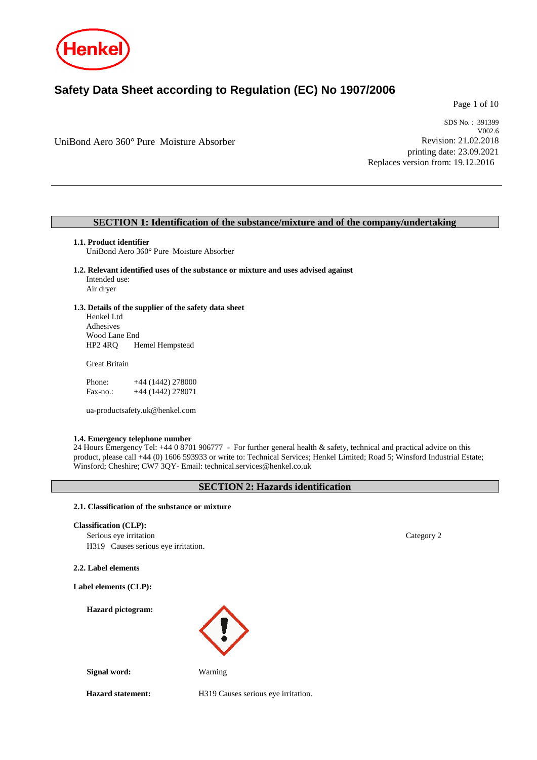

# **Safety Data Sheet according to Regulation (EC) No 1907/2006**

Page 1 of 10

UniBond Aero 360° Pure Moisture Absorber

SDS No. : 391399 V002.6 Revision: 21.02.2018 printing date: 23.09.2021 Replaces version from: 19.12.2016

# **SECTION 1: Identification of the substance/mixture and of the company/undertaking**

## **1.1. Product identifier**

UniBond Aero 360° Pure Moisture Absorber

- **1.2. Relevant identified uses of the substance or mixture and uses advised against** Intended use: Air dryer
- **1.3. Details of the supplier of the safety data sheet**

Henkel Ltd Adhesives Wood Lane End<br>HP2 4RQ He Hemel Hempstead

Great Britain

| Phone:   | $+44(1442)278000$ |
|----------|-------------------|
| Fax-no.: | +44 (1442) 278071 |

ua-productsafety.uk@henkel.com

#### **1.4. Emergency telephone number**

24 Hours Emergency Tel: +44 0 8701 906777 - For further general health & safety, technical and practical advice on this product, please call +44 (0) 1606 593933 or write to: Technical Services; Henkel Limited; Road 5; Winsford Industrial Estate; Winsford; Cheshire; CW7 3QY- Email: technical.services@henkel.co.uk

# **SECTION 2: Hazards identification**

## **2.1. Classification of the substance or mixture**

**Classification (CLP):**

Serious eye irritation Category 2 H319 Causes serious eye irritation.

**2.2. Label elements**

**Label elements (CLP):**

**Hazard pictogram:**



**Signal word:** Warning

**Hazard statement:** H319 Causes serious eye irritation.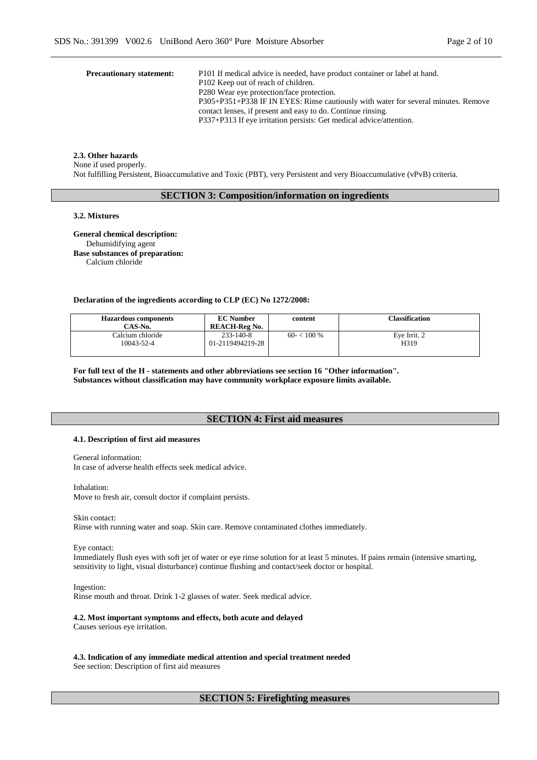| <b>Precautionary statement:</b> | P101 If medical advice is needed, have product container or label at hand.<br>P102 Keep out of reach of children.                                  |
|---------------------------------|----------------------------------------------------------------------------------------------------------------------------------------------------|
|                                 | P280 Wear eye protection/face protection.                                                                                                          |
|                                 | P305+P351+P338 IF IN EYES: Rinse cautiously with water for several minutes. Remove<br>contact lenses, if present and easy to do. Continue rinsing. |
|                                 | P337+P313 If eye irritation persists: Get medical advice/attention.                                                                                |
|                                 |                                                                                                                                                    |

#### **2.3. Other hazards**

None if used properly.

Not fulfilling Persistent, Bioaccumulative and Toxic (PBT), very Persistent and very Bioaccumulative (vPvB) criteria.

# **SECTION 3: Composition/information on ingredients**

## **3.2. Mixtures**

**General chemical description:** Dehumidifying agent **Base substances of preparation:** Calcium chloride

### **Declaration of the ingredients according to CLP (EC) No 1272/2008:**

| <b>Hazardous components</b><br>CAS-No. | <b>EC Number</b><br><b>REACH-Reg No.</b> | content      | Classification |
|----------------------------------------|------------------------------------------|--------------|----------------|
| Calcium chloride                       | $233 - 140 - 8$                          | $60 - 100\%$ | Eve Irrit. 2   |
| 10043-52-4                             | 01-2119494219-28                         |              | H319           |

**For full text of the H - statements and other abbreviations see section 16 "Other information". Substances without classification may have community workplace exposure limits available.**

# **SECTION 4: First aid measures**

# **4.1. Description of first aid measures**

General information:

In case of adverse health effects seek medical advice.

Inhalation:

Move to fresh air, consult doctor if complaint persists.

Skin contact:

Rinse with running water and soap. Skin care. Remove contaminated clothes immediately.

Eye contact:

Immediately flush eyes with soft jet of water or eye rinse solution for at least 5 minutes. If pains remain (intensive smarting, sensitivity to light, visual disturbance) continue flushing and contact/seek doctor or hospital.

Ingestion:

Rinse mouth and throat. Drink 1-2 glasses of water. Seek medical advice.

**4.2. Most important symptoms and effects, both acute and delayed** Causes serious eye irritation.

**4.3. Indication of any immediate medical attention and special treatment needed** See section: Description of first aid measures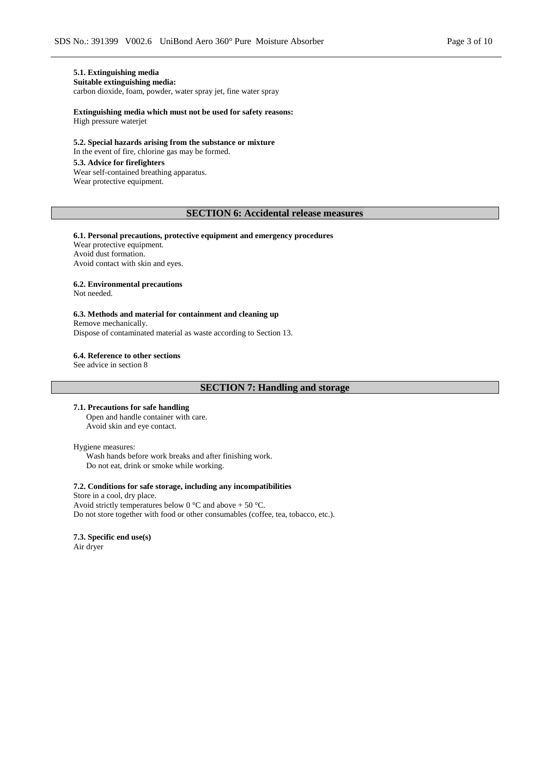# **5.1. Extinguishing media**

**Suitable extinguishing media:**

carbon dioxide, foam, powder, water spray jet, fine water spray

**Extinguishing media which must not be used for safety reasons:** High pressure waterjet

**5.2. Special hazards arising from the substance or mixture** In the event of fire, chlorine gas may be formed.

# **5.3. Advice for firefighters**

Wear self-contained breathing apparatus. Wear protective equipment.

# **SECTION 6: Accidental release measures**

#### **6.1. Personal precautions, protective equipment and emergency procedures** Wear protective equipment. Avoid dust formation. Avoid contact with skin and eyes.

#### **6.2. Environmental precautions**

Not needed.

### **6.3. Methods and material for containment and cleaning up**

Remove mechanically. Dispose of contaminated material as waste according to Section 13.

#### **6.4. Reference to other sections**

See advice in section 8

# **SECTION 7: Handling and storage**

**7.1. Precautions for safe handling** Open and handle container with care. Avoid skin and eye contact.

#### Hygiene measures:

Wash hands before work breaks and after finishing work. Do not eat, drink or smoke while working.

### **7.2. Conditions for safe storage, including any incompatibilities**

Store in a cool, dry place. Avoid strictly temperatures below 0 °C and above + 50 °C. Do not store together with food or other consumables (coffee, tea, tobacco, etc.).

# **7.3. Specific end use(s)**

Air dryer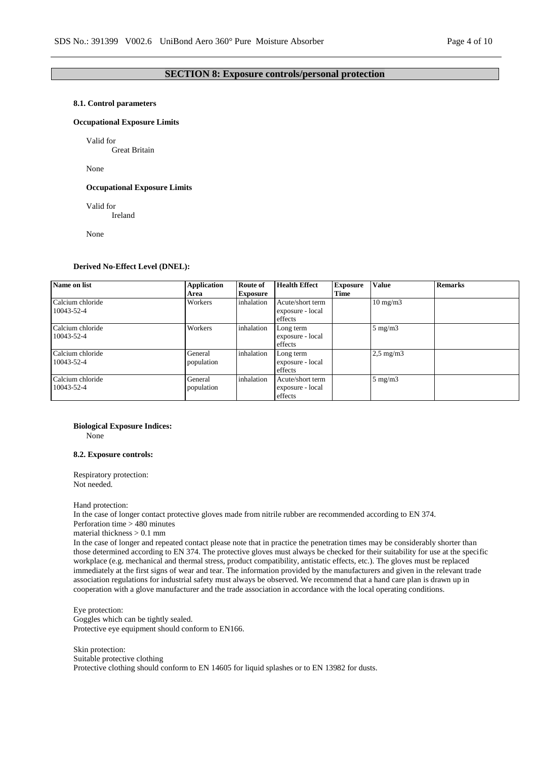# **SECTION 8: Exposure controls/personal protection**

#### **8.1. Control parameters**

### **Occupational Exposure Limits**

Valid for

Great Britain

None

#### **Occupational Exposure Limits**

Valid for

Ireland

None

#### **Derived No-Effect Level (DNEL):**

| Name on list                   | <b>Application</b><br>Area | <b>Route of</b><br><b>Exposure</b> | <b>Health Effect</b>                            | <b>Exposure</b><br>Time | <b>Value</b>      | <b>Remarks</b> |
|--------------------------------|----------------------------|------------------------------------|-------------------------------------------------|-------------------------|-------------------|----------------|
| Calcium chloride<br>10043-52-4 | Workers                    | inhalation                         | Acute/short term<br>exposure - local<br>effects |                         | $10 \text{ mg/m}$ |                |
| Calcium chloride<br>10043-52-4 | Workers                    | inhalation                         | Long term<br>exposure - local<br>effects        |                         | $5 \text{ mg/m}$  |                |
| Calcium chloride<br>10043-52-4 | General<br>population      | inhalation                         | Long term<br>exposure - local<br>effects        |                         | $2,5$ mg/m $3$    |                |
| Calcium chloride<br>10043-52-4 | General<br>population      | inhalation                         | Acute/short term<br>exposure - local<br>effects |                         | $5 \text{ mg/m}$  |                |

# **Biological Exposure Indices:**

None

# **8.2. Exposure controls:**

Respiratory protection: Not needed.

### Hand protection:

In the case of longer contact protective gloves made from nitrile rubber are recommended according to EN 374. Perforation time > 480 minutes

material thickness > 0.1 mm

In the case of longer and repeated contact please note that in practice the penetration times may be considerably shorter than those determined according to EN 374. The protective gloves must always be checked for their suitability for use at the specific workplace (e.g. mechanical and thermal stress, product compatibility, antistatic effects, etc.). The gloves must be replaced immediately at the first signs of wear and tear. The information provided by the manufacturers and given in the relevant trade association regulations for industrial safety must always be observed. We recommend that a hand care plan is drawn up in cooperation with a glove manufacturer and the trade association in accordance with the local operating conditions.

Eye protection: Goggles which can be tightly sealed. Protective eye equipment should conform to EN166.

Skin protection: Suitable protective clothing Protective clothing should conform to EN 14605 for liquid splashes or to EN 13982 for dusts.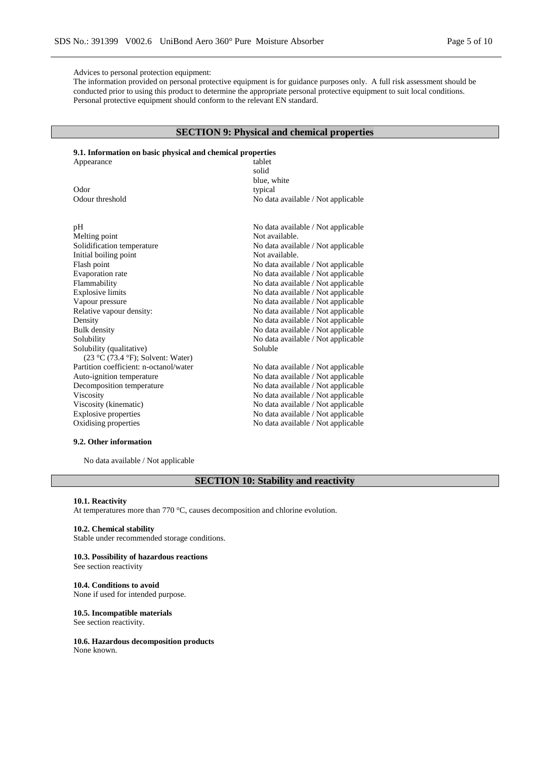#### Advices to personal protection equipment:

The information provided on personal protective equipment is for guidance purposes only. A full risk assessment should be conducted prior to using this product to determine the appropriate personal protective equipment to suit local conditions. Personal protective equipment should conform to the relevant EN standard.

# **SECTION 9: Physical and chemical properties**

# **9.1. Information on basic physical and chemical properties**

| Appearance                             | tablet                             |
|----------------------------------------|------------------------------------|
|                                        | solid                              |
|                                        | blue, white                        |
| Odor                                   | typical                            |
| Odour threshold                        | No data available / Not applicable |
|                                        |                                    |
| pH                                     | No data available / Not applicable |
| Melting point                          | Not available.                     |
| Solidification temperature             | No data available / Not applicable |
| Initial boiling point                  | Not available.                     |
| Flash point                            | No data available / Not applicable |
| Evaporation rate                       | No data available / Not applicable |
| Flammability                           | No data available / Not applicable |
| <b>Explosive limits</b>                | No data available / Not applicable |
| Vapour pressure                        | No data available / Not applicable |
| Relative vapour density:               | No data available / Not applicable |
| Density                                | No data available / Not applicable |
| <b>Bulk</b> density                    | No data available / Not applicable |
| Solubility                             | No data available / Not applicable |
| Solubility (qualitative)               | Soluble                            |
| $(23 °C (73.4 °F))$ ; Solvent: Water)  |                                    |
| Partition coefficient: n-octanol/water | No data available / Not applicable |
| Auto-ignition temperature              | No data available / Not applicable |
| Decomposition temperature              | No data available / Not applicable |
| Viscosity                              | No data available / Not applicable |
| Viscosity (kinematic)                  | No data available / Not applicable |
| <b>Explosive properties</b>            | No data available / Not applicable |
| Oxidising properties                   | No data available / Not applicable |
|                                        |                                    |

# **9.2. Other information**

No data available / Not applicable

# **SECTION 10: Stability and reactivity**

#### **10.1. Reactivity**

At temperatures more than 770 °C, causes decomposition and chlorine evolution.

#### **10.2. Chemical stability**

Stable under recommended storage conditions.

### **10.3. Possibility of hazardous reactions**

See section reactivity

# **10.4. Conditions to avoid**

None if used for intended purpose.

# **10.5. Incompatible materials**

See section reactivity.

#### **10.6. Hazardous decomposition products** None known.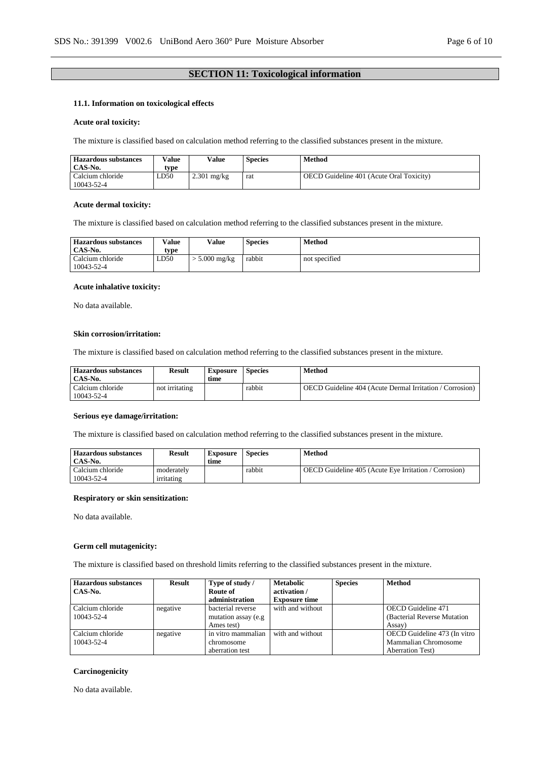# **SECTION 11: Toxicological information**

# **11.1. Information on toxicological effects**

### **Acute oral toxicity:**

The mixture is classified based on calculation method referring to the classified substances present in the mixture.

| <b>Hazardous substances</b><br>CAS-No. | Value<br>tvpe | Value         | <b>Species</b> | Method                                   |
|----------------------------------------|---------------|---------------|----------------|------------------------------------------|
| Calcium chloride<br>10043-52-4         | LD50          | $2.301$ mg/kg | rat            | OECD Guideline 401 (Acute Oral Toxicity) |

#### **Acute dermal toxicity:**

The mixture is classified based on calculation method referring to the classified substances present in the mixture.

| <b>Hazardous substances</b><br>CAS-No. | <b>Value</b><br>type | Value         | <b>Species</b> | <b>Method</b> |
|----------------------------------------|----------------------|---------------|----------------|---------------|
| Calcium chloride<br>10043-52-4         | LD50                 | $5.000$ mg/kg | rabbit         | not specified |

### **Acute inhalative toxicity:**

No data available.

#### **Skin corrosion/irritation:**

The mixture is classified based on calculation method referring to the classified substances present in the mixture.

| <b>Hazardous substances</b><br>CAS-No. | Result         | <b>Exposure</b><br>time | <b>Species</b> | Method                                                          |
|----------------------------------------|----------------|-------------------------|----------------|-----------------------------------------------------------------|
| Calcium chloride<br>10043-52-4         | not irritating |                         | rabbit         | <b>OECD</b> Guideline 404 (Acute Dermal Irritation / Corrosion) |

### **Serious eye damage/irritation:**

The mixture is classified based on calculation method referring to the classified substances present in the mixture.

| <b>Hazardous substances</b> | Result     | Exposure | <b>Species</b> | Method                                                |
|-----------------------------|------------|----------|----------------|-------------------------------------------------------|
| CAS-No.                     |            | time     |                |                                                       |
| Calcium chloride            | moderately |          | rabbit         | OECD Guideline 405 (Acute Eve Irritation / Corrosion) |
| 10043-52-4                  | irritating |          |                |                                                       |

### **Respiratory or skin sensitization:**

No data available.

### **Germ cell mutagenicity:**

The mixture is classified based on threshold limits referring to the classified substances present in the mixture.

| <b>Hazardous substances</b><br>CAS-No. | Result   | Type of study /<br>Route of | <b>Metabolic</b><br>activation / | <b>Species</b> | <b>Method</b>                |
|----------------------------------------|----------|-----------------------------|----------------------------------|----------------|------------------------------|
|                                        |          | administration              | <b>Exposure time</b>             |                |                              |
| Calcium chloride                       | negative | bacterial reverse           | with and without                 |                | <b>OECD</b> Guideline 471    |
| 10043-52-4                             |          | mutation assay (e.g.        |                                  |                | (Bacterial Reverse Mutation) |
|                                        |          | Ames test)                  |                                  |                | Assay)                       |
| Calcium chloride                       | negative | in vitro mammalian          | with and without                 |                | OECD Guideline 473 (In vitro |
| 10043-52-4                             |          | chromosome                  |                                  |                | Mammalian Chromosome         |
|                                        |          | aberration test             |                                  |                | <b>Aberration Test</b> )     |

#### **Carcinogenicity**

No data available.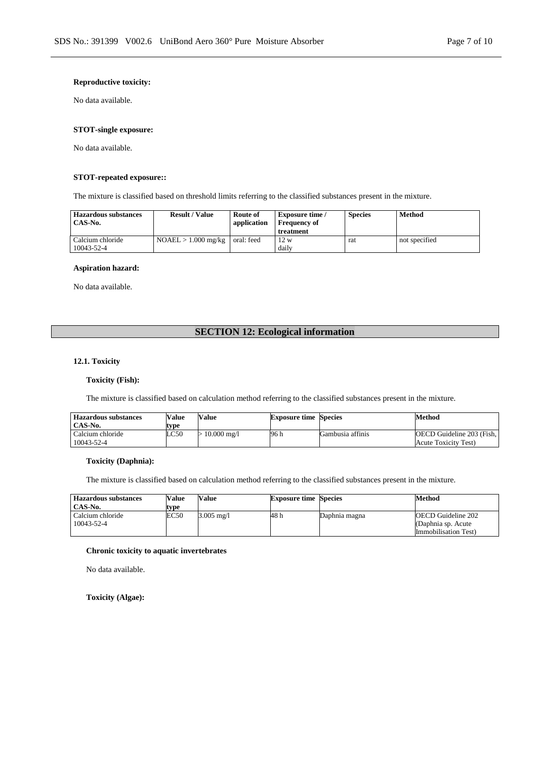### **Reproductive toxicity:**

No data available.

# **STOT-single exposure:**

No data available.

# **STOT-repeated exposure::**

The mixture is classified based on threshold limits referring to the classified substances present in the mixture.

| <b>Hazardous substances</b><br>CAS-No. | <b>Result / Value</b> | Route of<br>application | <b>Exposure time</b> /<br><b>Frequency of</b><br>treatment | <b>Species</b> | <b>Method</b> |
|----------------------------------------|-----------------------|-------------------------|------------------------------------------------------------|----------------|---------------|
| Calcium chloride<br>10043-52-4         | $NOAEL > 1.000$ mg/kg | oral: feed              | 12 w<br>daily                                              | rat            | not specified |

#### **Aspiration hazard:**

No data available.

# **SECTION 12: Ecological information**

## **12.1. Toxicity**

### **Toxicity (Fish):**

The mixture is classified based on calculation method referring to the classified substances present in the mixture.

| <b>Hazardous substances</b> | Value | <b>Value</b>           | <b>Exposure time Species</b> |                  | Method                           |
|-----------------------------|-------|------------------------|------------------------------|------------------|----------------------------------|
| CAS-No.                     | tvpe  |                        |                              |                  |                                  |
| Calcium chloride            | LC50  | $10.000 \text{ m}$ g/l | 96 h                         | Gambusia affinis | <b>OECD</b> Guideline 203 (Fish. |
| 10043-52-4                  |       |                        |                              |                  | Acute Toxicity Test)             |

### **Toxicity (Daphnia):**

The mixture is classified based on calculation method referring to the classified substances present in the mixture.

| <b>Hazardous substances</b><br>CAS-No. | Value<br>tvpe | Value      | <b>Exposure time Species</b> |               | Method                                                                  |
|----------------------------------------|---------------|------------|------------------------------|---------------|-------------------------------------------------------------------------|
| Calcium chloride<br>10043-52-4         | EC50          | 3.005 mg/l | 48 h                         | Daphnia magna | <b>OECD</b> Guideline 202<br>(Daphnia sp. Acute<br>Immobilisation Test) |

# **Chronic toxicity to aquatic invertebrates**

No data available.

**Toxicity (Algae):**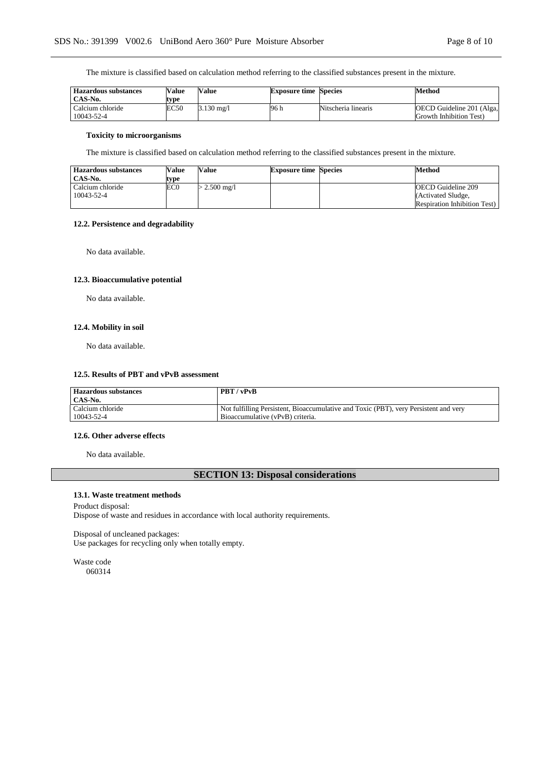The mixture is classified based on calculation method referring to the classified substances present in the mixture.

| <b>Hazardous substances</b><br>CAS-No. | Value<br>tvpe | Value                | <b>Exposure time Species</b> |                     | Method                                               |
|----------------------------------------|---------------|----------------------|------------------------------|---------------------|------------------------------------------------------|
| Calcium chloride<br>10043-52-4         | EC50          | $3.130 \text{ mg}/1$ | 96 h                         | Nitscheria linearis | OECD Guideline 201 (Alga,<br>Growth Inhibition Test) |

### **Toxicity to microorganisms**

The mixture is classified based on calculation method referring to the classified substances present in the mixture.

| <b>Hazardous substances</b> | Value | <b>Value</b>   | <b>Exposure time Species</b> | Method                              |
|-----------------------------|-------|----------------|------------------------------|-------------------------------------|
| CAS-No.                     | tvpe  |                |                              |                                     |
| Calcium chloride            | EC0   | $>$ 2.500 mg/l |                              | OECD Guideline 209                  |
| 10043-52-4                  |       |                |                              | (Activated Sludge,                  |
|                             |       |                |                              | <b>Respiration Inhibition Test)</b> |

### **12.2. Persistence and degradability**

No data available.

### **12.3. Bioaccumulative potential**

No data available.

# **12.4. Mobility in soil**

No data available.

#### **12.5. Results of PBT and vPvB assessment**

| <b>Hazardous substances</b><br>CAS-No. | <b>PBT</b> / vPvB                                                                    |
|----------------------------------------|--------------------------------------------------------------------------------------|
| Calcium chloride                       | Not fulfilling Persistent, Bioaccumulative and Toxic (PBT), very Persistent and very |
| 10043-52-4                             | Bioaccumulative (vPvB) criteria.                                                     |

### **12.6. Other adverse effects**

No data available.

# **SECTION 13: Disposal considerations**

### **13.1. Waste treatment methods**

# Product disposal: Dispose of waste and residues in accordance with local authority requirements.

Disposal of uncleaned packages: Use packages for recycling only when totally empty.

Waste code 060314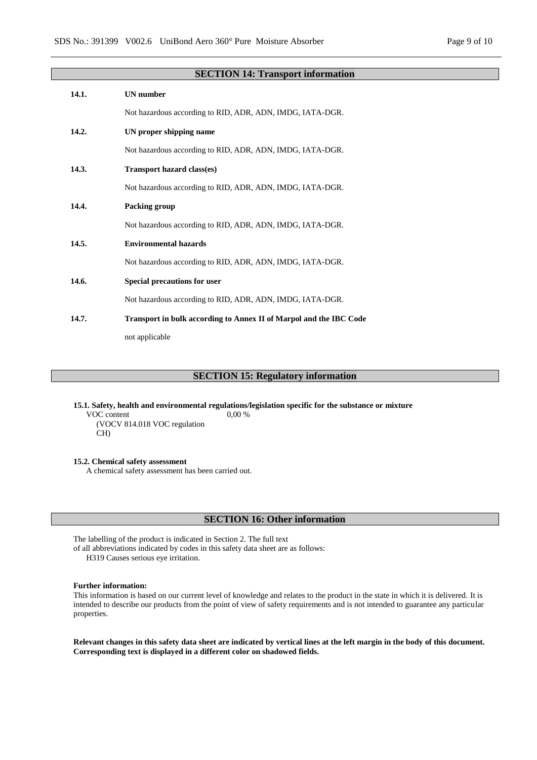|       | <b>SECTION 14: Transport information</b>                                  |
|-------|---------------------------------------------------------------------------|
| 14.1. | <b>UN</b> number                                                          |
|       | Not hazardous according to RID, ADR, ADN, IMDG, IATA-DGR.                 |
| 14.2. | UN proper shipping name                                                   |
|       | Not hazardous according to RID, ADR, ADN, IMDG, IATA-DGR.                 |
| 14.3. | <b>Transport hazard class(es)</b>                                         |
|       | Not hazardous according to RID, ADR, ADN, IMDG, IATA-DGR.                 |
| 14.4. | Packing group                                                             |
|       | Not hazardous according to RID, ADR, ADN, IMDG, IATA-DGR.                 |
| 14.5. | <b>Environmental hazards</b>                                              |
|       | Not hazardous according to RID, ADR, ADN, IMDG, IATA-DGR.                 |
| 14.6. | Special precautions for user                                              |
|       | Not hazardous according to RID, ADR, ADN, IMDG, IATA-DGR.                 |
| 14.7. | <b>Transport in bulk according to Annex II of Marpol and the IBC Code</b> |
|       | not applicable                                                            |
|       |                                                                           |

# **SECTION 15: Regulatory information**

**15.1. Safety, health and environmental regulations/legislation specific for the substance or mixture** VOC content 0,00 %

(VOCV 814.018 VOC regulation CH)

**15.2. Chemical safety assessment**

A chemical safety assessment has been carried out.

# **SECTION 16: Other information**

The labelling of the product is indicated in Section 2. The full text

of all abbreviations indicated by codes in this safety data sheet are as follows:

H319 Causes serious eye irritation.

### **Further information:**

This information is based on our current level of knowledge and relates to the product in the state in which it is delivered. It is intended to describe our products from the point of view of safety requirements and is not intended to guarantee any particular properties.

**Relevant changes in this safety data sheet are indicated by vertical lines at the left margin in the body of this document. Corresponding text is displayed in a different color on shadowed fields.**